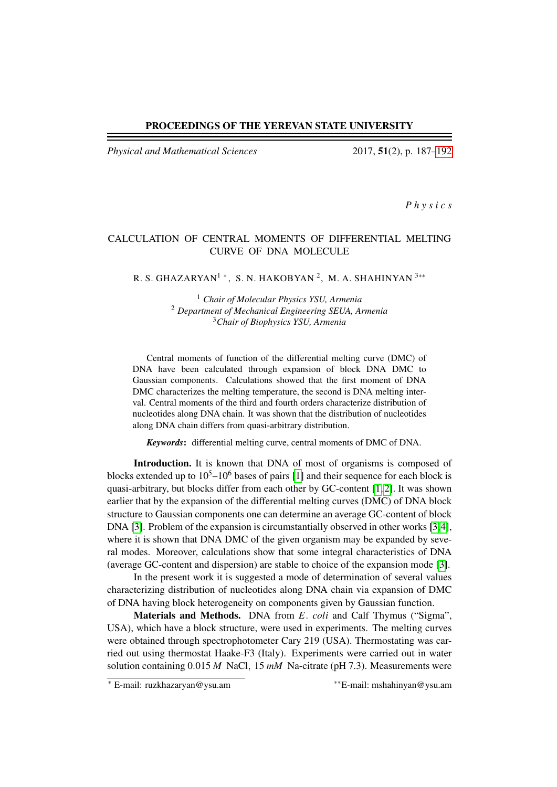#### PROCEEDINGS OF THE YEREVAN STATE UNIVERSITY

*Physical and Mathematical Sciences* 2017, 51(2), p. 187[–192](#page-5-0)

*P h y s i c s*

# CALCULATION OF CENTRAL MOMENTS OF DIFFERENTIAL MELTING CURVE OF DNA MOLECULE

# R. S. GHAZARYAN $^1$  \* , S. N. HAKOBYAN  $^2$ , M. A. SHAHINYAN  $^{3**}$

<sup>1</sup> *Chair of Molecular Physics YSU, Armenia* <sup>2</sup> *Department of Mechanical Engineering SEUA, Armenia* <sup>3</sup>*Chair of Biophysics YSU, Armenia*

Central moments of function of the differential melting curve (DMC) of DNA have been calculated through expansion of block DNA DMC to Gaussian components. Calculations showed that the first moment of DNA DMC characterizes the melting temperature, the second is DNA melting interval. Central moments of the third and fourth orders characterize distribution of nucleotides along DNA chain. It was shown that the distribution of nucleotides along DNA chain differs from quasi-arbitrary distribution.

*Keywords*: differential melting curve, central moments of DMC of DNA.

Introduction. It is known that DNA of most of organisms is composed of blocks extended up to  $10^5$ – $10^6$  bases of pairs [\[1\]](#page-5-1) and their sequence for each block is quasi-arbitrary, but blocks differ from each other by GC-content [\[1,](#page-5-1) [2\]](#page-5-2). It was shown earlier that by the expansion of the differential melting curves (DMC) of DNA block structure to Gaussian components one can determine an average GC-content of block DNA [\[3\]](#page-5-3). Problem of the expansion is circumstantially observed in other works [\[3,](#page-5-3)[4\]](#page-5-4), where it is shown that DNA DMC of the given organism may be expanded by several modes. Moreover, calculations show that some integral characteristics of DNA (average GC-content and dispersion) are stable to choice of the expansion mode [\[3\]](#page-5-3).

In the present work it is suggested a mode of determination of several values characterizing distribution of nucleotides along DNA chain via expansion of DMC of DNA having block heterogeneity on components given by Gaussian function.

Materials and Methods. DNA from *E*. *coli* and Calf Thymus ("Sigma", USA), which have a block structure, were used in experiments. The melting curves were obtained through spectrophotometer Cary 219 (USA). Thermostating was carried out using thermostat Haake-F3 (Italy). Experiments were carried out in water solution containing 0.015 *M* NaCl, 15 *mM* Na-citrate (pH 7.3). Measurements were

<sup>∗</sup> E-mail: ruzkhazaryan@ysu.am ∗∗E-mail: mshahinyan@ysu.am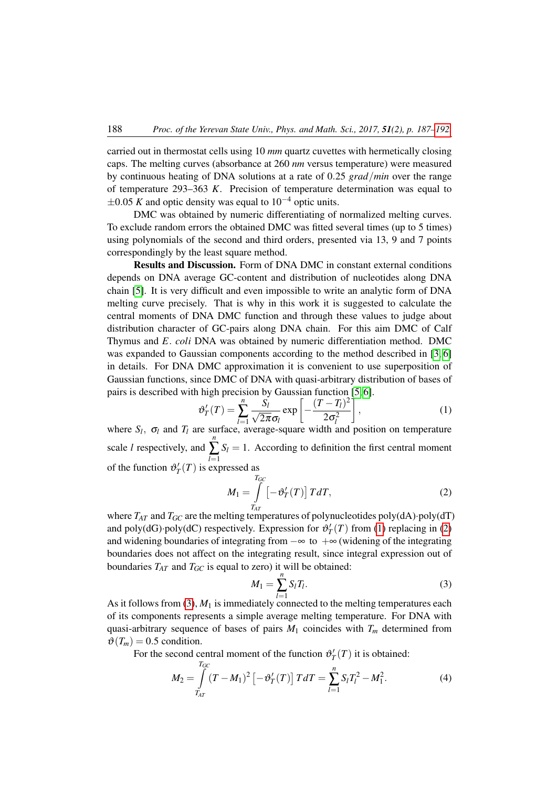carried out in thermostat cells using 10 *mm* quartz cuvettes with hermetically closing caps. The melting curves (absorbance at 260 *nm* versus temperature) were measured by continuous heating of DNA solutions at a rate of 0.25 *grad*/*min* over the range of temperature 293–363 *K*. Precision of temperature determination was equal to  $\pm 0.05$  *K* and optic density was equal to 10<sup>-4</sup> optic units.

DMC was obtained by numeric differentiating of normalized melting curves. To exclude random errors the obtained DMC was fitted several times (up to 5 times) using polynomials of the second and third orders, presented via 13, 9 and 7 points correspondingly by the least square method.

Results and Discussion. Form of DNA DMC in constant external conditions depends on DNA average GC-content and distribution of nucleotides along DNA chain [\[5\]](#page-5-5). It is very difficult and even impossible to write an analytic form of DNA melting curve precisely. That is why in this work it is suggested to calculate the central moments of DNA DMC function and through these values to judge about distribution character of GC-pairs along DNA chain. For this aim DMC of Calf Thymus and *E*. *coli* DNA was obtained by numeric differentiation method. DMC was expanded to Gaussian components according to the method described in [\[3,](#page-5-3) [6\]](#page-5-6) in details. For DNA DMC approximation it is convenient to use superposition of Gaussian functions, since DMC of DNA with quasi-arbitrary distribution of bases of pairs is described with high precision by Gaussian function [\[5,](#page-5-5) [6\]](#page-5-6).

where 
$$
S_l
$$
,  $\sigma_l$  and  $T_l$  are surface, average-square width and position on temperature

scale *l* respectively, and *n* ∑ *l*=1  $S_l = 1$ . According to definition the first central moment of the function  $\vartheta'_T(T)$  is expressed as

<span id="page-1-1"></span><span id="page-1-0"></span>
$$
M_1 = \int\limits_{T_{AT}}^{T_{GC}} \left[ -\vartheta'_T(T) \right] T dT, \tag{2}
$$

where  $T_{AT}$  and  $T_{GC}$  are the melting temperatures of polynucleotides poly(dA)·poly(dT) and poly(dG)·poly(dC) respectively. Expression for  $\vartheta'_T(T)$  from [\(1\)](#page-1-0) replacing in [\(2\)](#page-1-1) and widening boundaries of integrating from  $-\infty$  to  $+\infty$  (widening of the integrating boundaries does not affect on the integrating result, since integral expression out of boundaries  $T_{AT}$  and  $T_{GC}$  is equal to zero) it will be obtained:

<span id="page-1-2"></span>
$$
M_1 = \sum_{l=1}^{n} S_l T_l. \tag{3}
$$

As it follows from [\(3\)](#page-1-2),  $M_1$  is immediately connected to the melting temperatures each of its components represents a simple average melting temperature. For DNA with quasi-arbitrary sequence of bases of pairs  $M_1$  coincides with  $T_m$  determined from  $\vartheta(T_m) = 0.5$  condition.

For the second central moment of the function  $\vartheta'_T(T)$  it is obtained:

$$
M_2 = \int_{T_{AT}}^{T_{GC}} (T - M_1)^2 \left[ -\vartheta'_T(T) \right] T dT = \sum_{l=1}^n S_l T_l^2 - M_1^2.
$$
 (4)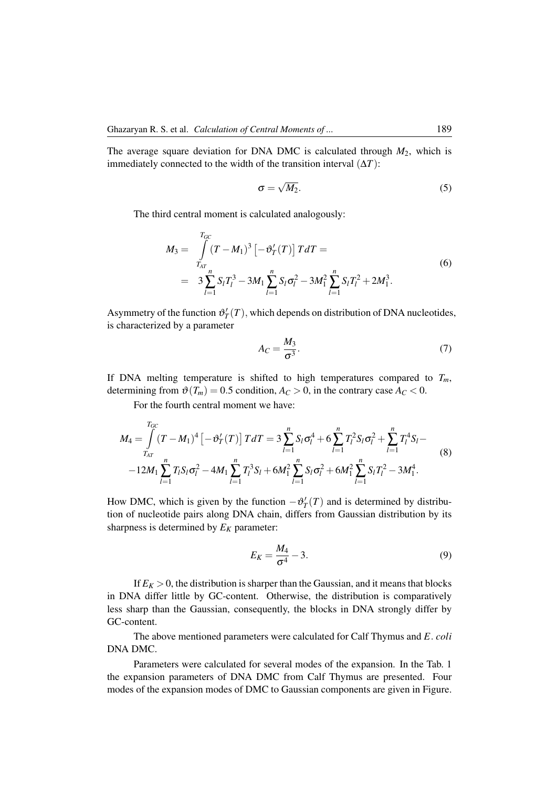The average square deviation for DNA DMC is calculated through  $M_2$ , which is immediately connected to the width of the transition interval  $(\Delta T)$ :

$$
\sigma = \sqrt{M_2}.\tag{5}
$$

The third central moment is calculated analogously:

$$
M_3 = \int_{T_{AT}}^{T_{GC}} (T - M_1)^3 \left[ -\vartheta'_T(T) \right] T dT =
$$
  
= 
$$
3 \sum_{l=1}^n S_l T_l^3 - 3M_1 \sum_{l=1}^n S_l \sigma_l^2 - 3M_1^2 \sum_{l=1}^n S_l T_l^2 + 2M_1^3.
$$
 (6)

Asymmetry of the function  $\vartheta'_T(T)$ , which depends on distribution of DNA nucleotides, is characterized by a parameter

$$
A_C = \frac{M_3}{\sigma^3}.\tag{7}
$$

If DNA melting temperature is shifted to high temperatures compared to  $T_m$ , determining from  $\vartheta(T_m) = 0.5$  condition,  $A_C > 0$ , in the contrary case  $A_C < 0$ .

For the fourth central moment we have:

$$
M_4 = \int_{T_{AT}}^{T_{GC}} (T - M_1)^4 \left[ -\vartheta'_T(T) \right] T dT = 3 \sum_{l=1}^n S_l \sigma_l^4 + 6 \sum_{l=1}^n T_l^2 S_l \sigma_l^2 + \sum_{l=1}^n T_l^4 S_l - 12M_1 \sum_{l=1}^n T_l S_l \sigma_l^2 - 4M_1 \sum_{l=1}^n T_l^3 S_l + 6M_1^2 \sum_{l=1}^n S_l \sigma_l^2 + 6M_1^2 \sum_{l=1}^n S_l T_l^2 - 3M_1^4.
$$
 (8)

How DMC, which is given by the function  $-\theta'_T(T)$  and is determined by distribution of nucleotide pairs along DNA chain, differs from Gaussian distribution by its sharpness is determined by  $E_K$  parameter:

$$
E_K = \frac{M_4}{\sigma^4} - 3. \tag{9}
$$

If  $E_K > 0$ , the distribution is sharper than the Gaussian, and it means that blocks in DNA differ little by GC-content. Otherwise, the distribution is comparatively less sharp than the Gaussian, consequently, the blocks in DNA strongly differ by GC-content.

The above mentioned parameters were calculated for Calf Thymus and *E*. *coli* DNA DMC.

Parameters were calculated for several modes of the expansion. In the Tab. 1 the expansion parameters of DNA DMC from Calf Thymus are presented. Four modes of the expansion modes of DMC to Gaussian components are given in Figure.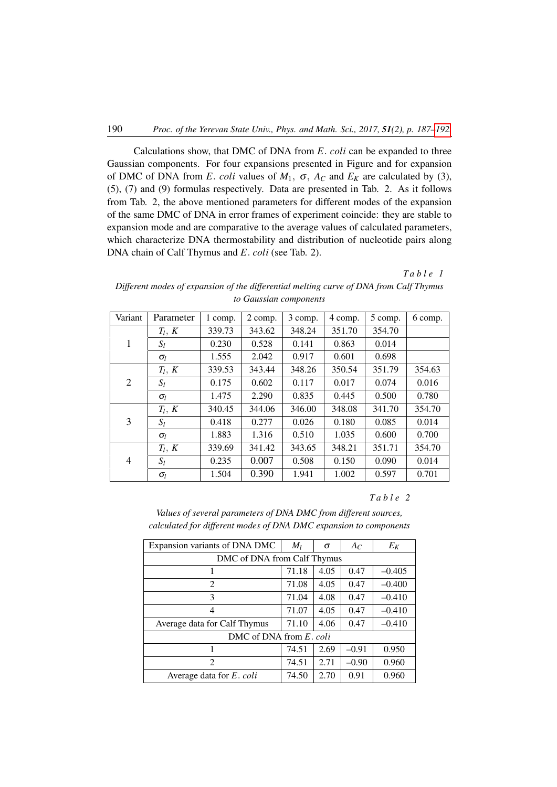Calculations show, that DMC of DNA from *E*. *coli* can be expanded to three Gaussian components. For four expansions presented in Figure and for expansion of DMC of DNA from *E*. *coli* values of  $M_1$ ,  $\sigma$ ,  $A_C$  and  $E_K$  are calculated by (3), (5), (7) and (9) formulas respectively. Data are presented in Tab. 2. As it follows from Tab. 2, the above mentioned parameters for different modes of the expansion of the same DMC of DNA in error frames of experiment coincide: they are stable to expansion mode and are comparative to the average values of calculated parameters, which characterize DNA thermostability and distribution of nucleotide pairs along DNA chain of Calf Thymus and *E*. *coli* (see Tab. 2).

## *T a b l e 1*

*Different modes of expansion of the differential melting curve of DNA from Calf Thymus to Gaussian components*

| Variant | Parameter  | 1 comp. | 2 comp. | 3 comp. | 4 comp. | 5 comp. | 6 comp. |
|---------|------------|---------|---------|---------|---------|---------|---------|
| 1       | $T_l, K$   | 339.73  | 343.62  | 348.24  | 351.70  | 354.70  |         |
|         | $S_l$      | 0.230   | 0.528   | 0.141   | 0.863   | 0.014   |         |
|         | $\sigma_l$ | 1.555   | 2.042   | 0.917   | 0.601   | 0.698   |         |
| 2       | $T_l, K$   | 339.53  | 343.44  | 348.26  | 350.54  | 351.79  | 354.63  |
|         | $S_l$      | 0.175   | 0.602   | 0.117   | 0.017   | 0.074   | 0.016   |
|         | $\sigma_l$ | 1.475   | 2.290   | 0.835   | 0.445   | 0.500   | 0.780   |
| 3       | $T_l, K$   | 340.45  | 344.06  | 346.00  | 348.08  | 341.70  | 354.70  |
|         | $S_l$      | 0.418   | 0.277   | 0.026   | 0.180   | 0.085   | 0.014   |
|         | $\sigma_l$ | 1.883   | 1.316   | 0.510   | 1.035   | 0.600   | 0.700   |
| 4       | $T_l, K$   | 339.69  | 341.42  | 343.65  | 348.21  | 351.71  | 354.70  |
|         | $S_l$      | 0.235   | 0.007   | 0.508   | 0.150   | 0.090   | 0.014   |
|         | $\sigma_l$ | 1.504   | 0.390   | 1.941   | 1.002   | 0.597   | 0.701   |

## *T a b l e 2*

*Values of several parameters of DNA DMC from different sources, calculated for different modes of DNA DMC expansion to components*

| Expansion variants of DNA DMC | $M_l$ | $\sigma$ | $A_C$   | $E_K$    |  |  |  |  |  |
|-------------------------------|-------|----------|---------|----------|--|--|--|--|--|
| DMC of DNA from Calf Thymus   |       |          |         |          |  |  |  |  |  |
|                               | 71.18 | 4.05     | 0.47    | $-0.405$ |  |  |  |  |  |
| $\overline{2}$                | 71.08 | 4.05     | 0.47    | $-0.400$ |  |  |  |  |  |
| 3                             | 71.04 | 4.08     | 0.47    | $-0.410$ |  |  |  |  |  |
| 4                             | 71.07 | 4.05     | 0.47    | $-0.410$ |  |  |  |  |  |
| Average data for Calf Thymus  | 71.10 | 4.06     | 0.47    | $-0.410$ |  |  |  |  |  |
| DMC of DNA from $E$ , coli    |       |          |         |          |  |  |  |  |  |
|                               | 74.51 | 2.69     | $-0.91$ | 0.950    |  |  |  |  |  |
| $\mathfrak{D}$                | 74.51 | 2.71     | $-0.90$ | 0.960    |  |  |  |  |  |
| Average data for $E$ . coli   | 74.50 | 2.70     | 0.91    | 0.960    |  |  |  |  |  |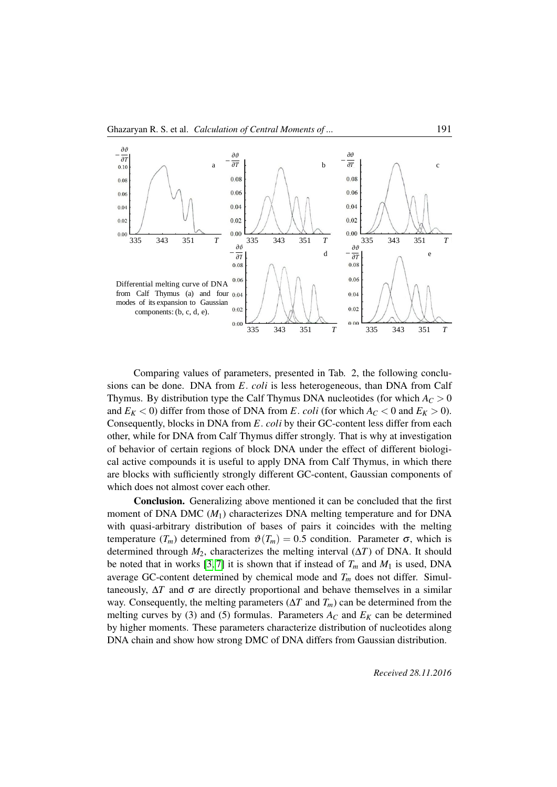

Comparing values of parameters, presented in Tab. 2, the following conclusions can be done. DNA from *E*. *coli* is less heterogeneous, than DNA from Calf Thymus. By distribution type the Calf Thymus DNA nucleotides (for which  $A_C > 0$ and  $E_K < 0$ ) differ from those of DNA from *E*. *coli* (for which  $A_C < 0$  and  $E_K > 0$ ). Consequently, blocks in DNA from *E*. *coli* by their GC-content less differ from each other, while for DNA from Calf Thymus differ strongly. That is why at investigation of behavior of certain regions of block DNA under the effect of different biological active compounds it is useful to apply DNA from Calf Thymus, in which there are blocks with sufficiently strongly different GC-content, Gaussian components of which does not almost cover each other.

Conclusion. Generalizing above mentioned it can be concluded that the first moment of DNA DMC (*M*1) characterizes DNA melting temperature and for DNA with quasi-arbitrary distribution of bases of pairs it coincides with the melting temperature  $(T_m)$  determined from  $\vartheta(T_m) = 0.5$  condition. Parameter  $\sigma$ , which is determined through  $M_2$ , characterizes the melting interval  $(\Delta T)$  of DNA. It should be noted that in works [\[3,](#page-5-3) [7\]](#page-5-7) it is shown that if instead of  $T_m$  and  $M_1$  is used, DNA average GC-content determined by chemical mode and *T<sup>m</sup>* does not differ. Simultaneously,  $\Delta T$  and  $\sigma$  are directly proportional and behave themselves in a similar way. Consequently, the melting parameters (∆*T* and *Tm*) can be determined from the melting curves by (3) and (5) formulas. Parameters  $A_C$  and  $E_K$  can be determined by higher moments. These parameters characterize distribution of nucleotides along DNA chain and show how strong DMC of DNA differs from Gaussian distribution.

*Received 28.11.2016*